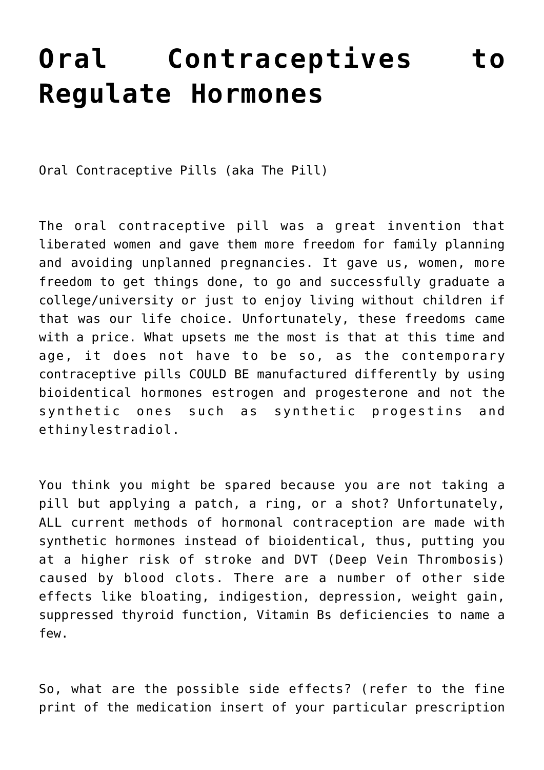## **[Oral Contraceptives to](https://sproutshealth.com/oral-contraceptives-to-regulate-hormones/) [Regulate Hormones](https://sproutshealth.com/oral-contraceptives-to-regulate-hormones/)**

Oral Contraceptive Pills (aka The Pill)

The oral contraceptive pill was a great invention that liberated women and gave them more freedom for family planning and avoiding unplanned pregnancies. It gave us, women, more freedom to get things done, to go and successfully graduate a college/university or just to enjoy living without children if that was our life choice. Unfortunately, these freedoms came with a price. What upsets me the most is that at this time and age, it does not have to be so, as the contemporary contraceptive pills COULD BE manufactured differently by using bioidentical hormones estrogen and progesterone and not the synthetic ones such as synthetic progestins and ethinylestradiol.

You think you might be spared because you are not taking a pill but applying a patch, a ring, or a shot? Unfortunately, ALL current methods of hormonal contraception are made with synthetic hormones instead of bioidentical, thus, putting you at a higher risk of stroke and DVT (Deep Vein Thrombosis) caused by blood clots. There are a number of other side effects like bloating, indigestion, depression, weight gain, suppressed thyroid function, Vitamin Bs deficiencies to name a few.

So, what are the possible side effects? (refer to the fine print of the medication insert of your particular prescription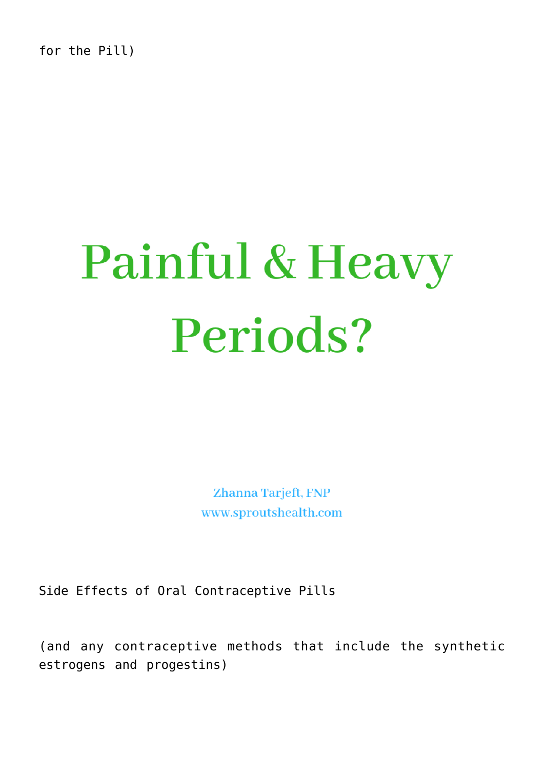for the Pill)

## Painful & Heavy Periods?

Zhanna Tarjeft, FNP www.sproutshealth.com

Side Effects of Oral Contraceptive Pills

(and any contraceptive methods that include the synthetic estrogens and progestins)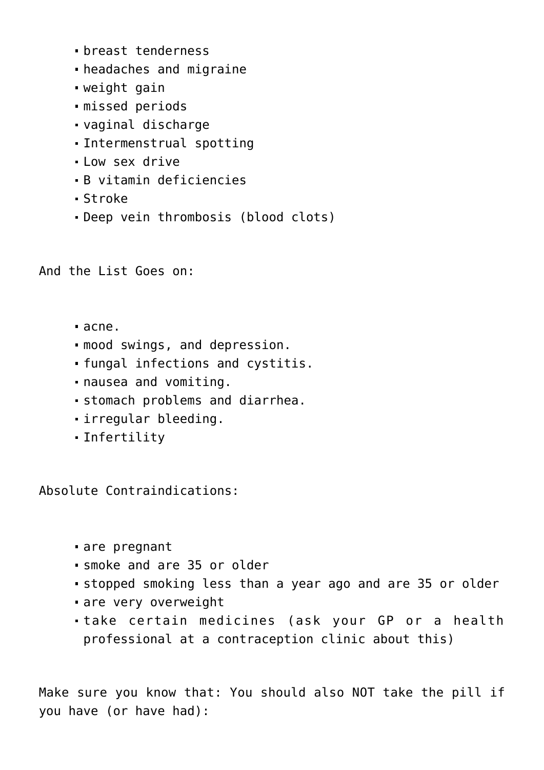- breast tenderness
- headaches and migraine
- weight gain
- missed periods
- vaginal discharge
- Intermenstrual spotting
- . Low sex drive
- B vitamin deficiencies
- Stroke
- Deep vein thrombosis (blood clots)

And the List Goes on:

- acne.
- mood swings, and depression.
- fungal infections and cystitis.
- nausea and vomiting.
- stomach problems and diarrhea.
- irregular bleeding.
- Infertility

Absolute Contraindications:

- are pregnant
- smoke and are 35 or older
- stopped smoking less than a year ago and are 35 or older
- are very overweight
- take certain medicines (ask your GP or a health professional at a contraception clinic about this)

Make sure you know that: You should also NOT take the pill if you have (or have had):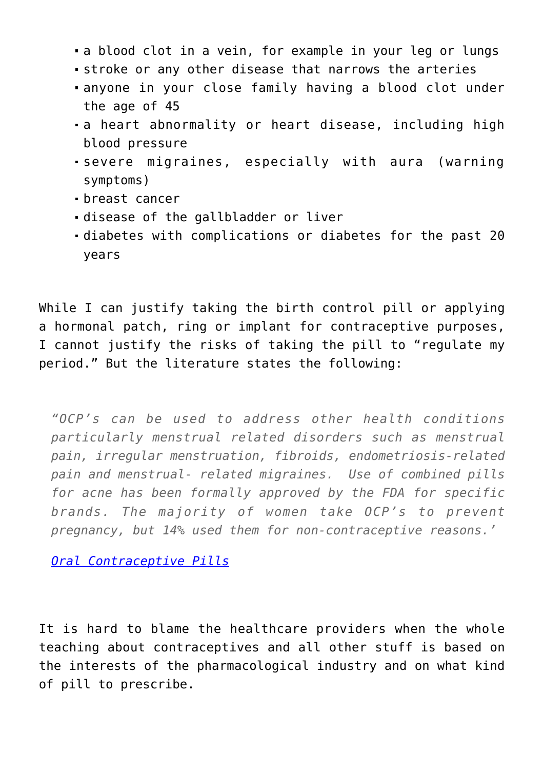- a blood clot in a vein, for example in your leg or lungs
- stroke or any other disease that narrows the arteries
- anyone in your close family having a blood clot under the age of 45
- a heart abnormality or heart disease, including high blood pressure
- severe migraines, especially with aura (warning symptoms)
- breast cancer
- disease of the gallbladder or liver
- diabetes with complications or diabetes for the past 20 years

While I can justify taking the birth control pill or applying a hormonal patch, ring or implant for contraceptive purposes, I cannot justify the risks of taking the pill to "regulate my period." But the literature states the following:

*"OCP's can be used to address other health conditions particularly menstrual related disorders such as menstrual pain, irregular menstruation, fibroids, endometriosis-related pain and menstrual- related migraines. Use of combined pills for acne has been formally approved by the FDA for specific brands. The majority of women take OCP's to prevent pregnancy, but 14% used them for non-contraceptive reasons.'*

*[Oral Contraceptive Pills](https://www.ncbi.nlm.nih.gov/books/NBK430882/)*

It is hard to blame the healthcare providers when the whole teaching about contraceptives and all other stuff is based on the interests of the pharmacological industry and on what kind of pill to prescribe.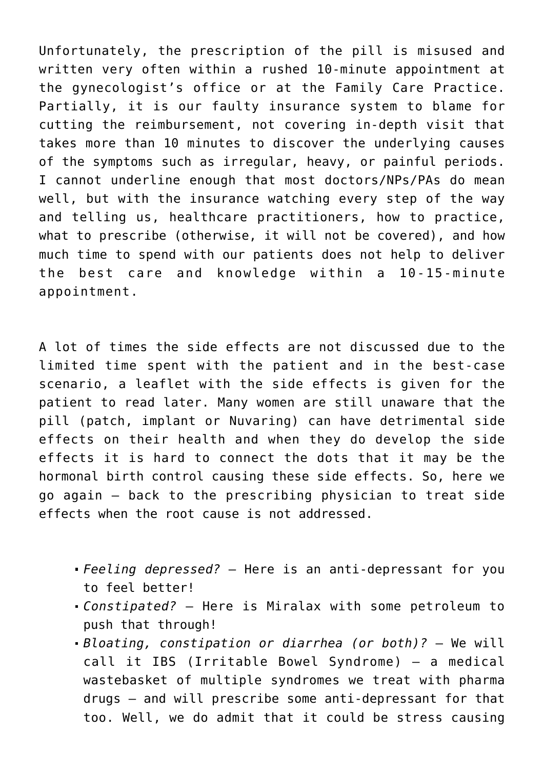Unfortunately, the prescription of the pill is misused and written very often within a rushed 10-minute appointment at the gynecologist's office or at the Family Care Practice. Partially, it is our faulty insurance system to blame for cutting the reimbursement, not covering in-depth visit that takes more than 10 minutes to discover the underlying causes of the symptoms such as irregular, heavy, or painful periods. I cannot underline enough that most doctors/NPs/PAs do mean well, but with the insurance watching every step of the way and telling us, healthcare practitioners, how to practice, what to prescribe (otherwise, it will not be covered), and how much time to spend with our patients does not help to deliver the best care and knowledge within a 10-15-minute appointment.

A lot of times the side effects are not discussed due to the limited time spent with the patient and in the best-case scenario, a leaflet with the side effects is given for the patient to read later. Many women are still unaware that the pill (patch, implant or Nuvaring) can have detrimental side effects on their health and when they do develop the side effects it is hard to connect the dots that it may be the hormonal birth control causing these side effects. So, here we go again – back to the prescribing physician to treat side effects when the root cause is not addressed.

- *Feeling depressed?* Here is an anti-depressant for you to feel better!
- *Constipated?* Here is Miralax with some petroleum to push that through!
- *Bloating, constipation or diarrhea (or both)?* We will call it IBS (Irritable Bowel Syndrome) – a medical wastebasket of multiple syndromes we treat with pharma drugs – and will prescribe some anti-depressant for that too. Well, we do admit that it could be stress causing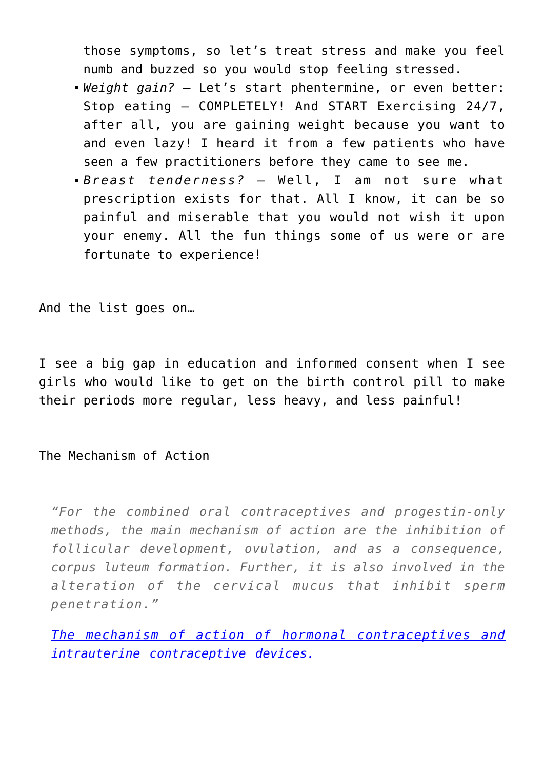those symptoms, so let's treat stress and make you feel numb and buzzed so you would stop feeling stressed.

- *Weight gain?* Let's start phentermine, or even better: Stop eating – COMPLETELY! And START Exercising 24/7, after all, you are gaining weight because you want to and even lazy! I heard it from a few patients who have seen a few practitioners before they came to see me.
- *Breast tenderness?* Well, I am not sure what prescription exists for that. All I know, it can be so painful and miserable that you would not wish it upon your enemy. All the fun things some of us were or are fortunate to experience!

And the list goes on…

I see a big gap in education and informed consent when I see girls who would like to get on the birth control pill to make their periods more regular, less heavy, and less painful!

The Mechanism of Action

*"For the combined oral contraceptives and progestin-only methods, the main mechanism of action are the inhibition of follicular development, ovulation, and as a consequence, corpus luteum formation. Further, it is also involved in the alteration of the cervical mucus that inhibit sperm penetration."*

*[The mechanism of action of hormonal contraceptives and](https://www.ncbi.nlm.nih.gov/pubmed/10561657) [intrauterine contraceptive devices.](https://www.ncbi.nlm.nih.gov/pubmed/10561657)*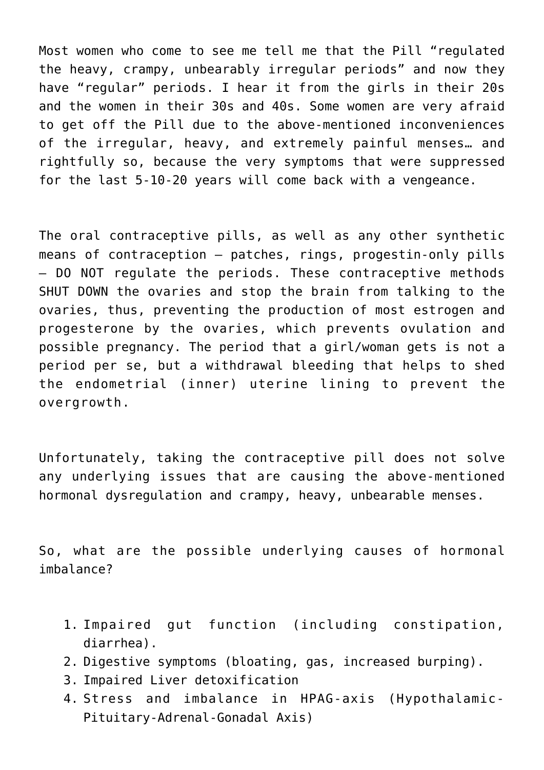Most women who come to see me tell me that the Pill "regulated the heavy, crampy, unbearably irregular periods" and now they have "regular" periods. I hear it from the girls in their 20s and the women in their 30s and 40s. Some women are very afraid to get off the Pill due to the above-mentioned inconveniences of the irregular, heavy, and extremely painful menses… and rightfully so, because the very symptoms that were suppressed for the last 5-10-20 years will come back with a vengeance.

The oral contraceptive pills, as well as any other synthetic means of contraception – patches, rings, progestin-only pills – DO NOT regulate the periods. These contraceptive methods SHUT DOWN the ovaries and stop the brain from talking to the ovaries, thus, preventing the production of most estrogen and progesterone by the ovaries, which prevents ovulation and possible pregnancy. The period that a girl/woman gets is not a period per se, but a withdrawal bleeding that helps to shed the endometrial (inner) uterine lining to prevent the overgrowth.

Unfortunately, taking the contraceptive pill does not solve any underlying issues that are causing the above-mentioned hormonal dysregulation and crampy, heavy, unbearable menses.

So, what are the possible underlying causes of hormonal imbalance?

- 1. Impaired gut function (including constipation, diarrhea).
- 2. Digestive symptoms (bloating, gas, increased burping).
- 3. Impaired Liver detoxification
- 4. Stress and imbalance in HPAG-axis (Hypothalamic-Pituitary-Adrenal-Gonadal Axis)